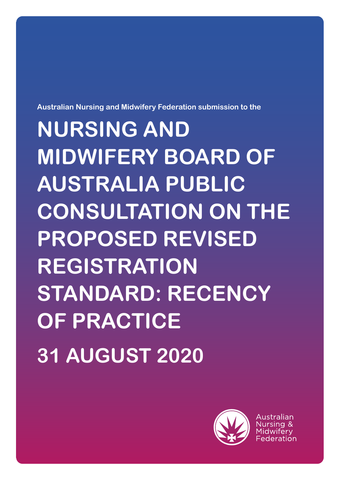

Australian

# **NURSING AND MIDWIFERY BOARD OF AUSTRALIA PUBLIC CONSULTATION ON THE PROPOSED REVISED REGISTRATION STANDARD: RECENCY OF PRACTICE 31 AUGUST 2020**

**Australian Nursing and Midwifery Federation submission to the**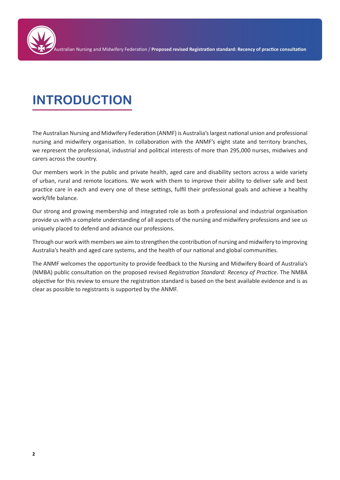## **INTRODUCTION**

The Australian Nursing and Midwifery Federation (ANMF) is Australia's largest national union and professional nursing and midwifery organisation. In collaboration with the ANMF's eight state and territory branches, we represent the professional, industrial and political interests of more than 295,000 nurses, midwives and carers across the country.

Our members work in the public and private health, aged care and disability sectors across a wide variety of urban, rural and remote locations. We work with them to improve their ability to deliver safe and best practice care in each and every one of these settings, fulfil their professional goals and achieve a healthy work/life balance.

Our strong and growing membership and integrated role as both a professional and industrial organisation provide us with a complete understanding of all aspects of the nursing and midwifery professions and see us uniquely placed to defend and advance our professions.

Through our work with members we aim to strengthen the contribution of nursing and midwifery to improving Australia's health and aged care systems, and the health of our national and global communities.

The ANMF welcomes the opportunity to provide feedback to the Nursing and Midwifery Board of Australia's (NMBA) public consultation on the proposed revised *Registration Standard: Recency of Practice*. The NMBA objective for this review to ensure the registration standard is based on the best available evidence and is as clear as possible to registrants is supported by the ANMF.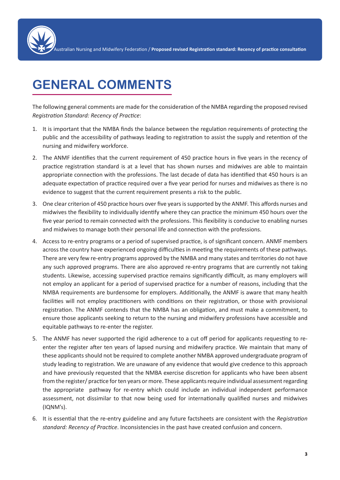### **GENERAL COMMENTS**

The following general comments are made for the consideration of the NMBA regarding the proposed revised *Registration Standard: Recency of Practice*:

- 1. It is important that the NMBA finds the balance between the regulation requirements of protecting the public and the accessibility of pathways leading to registration to assist the supply and retention of the nursing and midwifery workforce.
- 2. The ANMF identifies that the current requirement of 450 practice hours in five years in the recency of practice registration standard is at a level that has shown nurses and midwives are able to maintain appropriate connection with the professions. The last decade of data has identified that 450 hours is an adequate expectation of practice required over a five year period for nurses and midwives as there is no evidence to suggest that the current requirement presents a risk to the public.
- 3. One clear criterion of 450 practice hours over five years is supported by the ANMF. This affords nurses and midwives the flexibility to individually identify where they can practice the minimum 450 hours over the five year period to remain connected with the professions. This flexibility is conducive to enabling nurses and midwives to manage both their personal life and connection with the professions.
- 4. Access to re-entry programs or a period of supervised practice, is of significant concern. ANMF members across the country have experienced ongoing difficulties in meeting the requirements of these pathways. There are very few re-entry programs approved by the NMBA and many states and territories do not have any such approved programs. There are also approved re-entry programs that are currently not taking students. Likewise, accessing supervised practice remains significantly difficult, as many employers will not employ an applicant for a period of supervised practice for a number of reasons, including that the NMBA requirements are burdensome for employers. Additionally, the ANMF is aware that many health facilities will not employ practitioners with conditions on their registration, or those with provisional registration. The ANMF contends that the NMBA has an obligation, and must make a commitment, to ensure those applicants seeking to return to the nursing and midwifery professions have accessible and equitable pathways to re-enter the register.
- 5. The ANMF has never supported the rigid adherence to a cut off period for applicants requesting to reenter the register after ten years of lapsed nursing and midwifery practice. We maintain that many of these applicants should not be required to complete another NMBA approved undergraduate program of study leading to registration. We are unaware of any evidence that would give credence to this approach and have previously requested that the NMBA exercise discretion for applicants who have been absent from the register/ practice for ten years or more. These applicants require individual assessment regarding the appropriate pathway for re-entry which could include an individual independent performance assessment, not dissimilar to that now being used for internationally qualified nurses and midwives (IQNM's).
- 6. It is essential that the re-entry guideline and any future factsheets are consistent with the *Registration standard: Recency of Practice*. Inconsistencies in the past have created confusion and concern.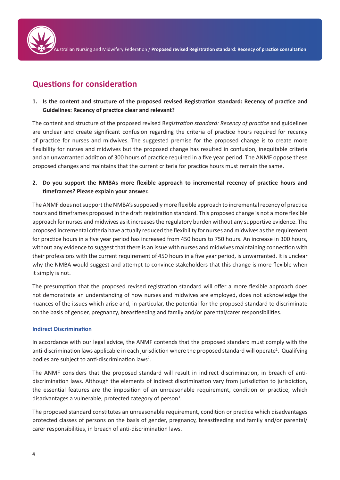

Australian Nursing and Midwifery Federation / **Proposed revised Registration standard: Recency of practice consultation**

### **Questions for consideration**

**1. Is the content and structure of the proposed revised Registration standard: Recency of practice and Guidelines: Recency of practice clear and relevant?**

The content and structure of the proposed revised R*egistration standard: Recency of practice* and guidelines are unclear and create significant confusion regarding the criteria of practice hours required for recency of practice for nurses and midwives. The suggested premise for the proposed change is to create more flexibility for nurses and midwives but the proposed change has resulted in confusion, inequitable criteria and an unwarranted addition of 300 hours of practice required in a five year period. The ANMF oppose these proposed changes and maintains that the current criteria for practice hours must remain the same.

**2. Do you support the NMBAs more flexible approach to incremental recency of practice hours and timeframes? Please explain your answer.**

The ANMF does not support the NMBA's supposedly more flexible approach to incremental recency of practice hours and timeframes proposed in the draft registration standard. This proposed change is not a more flexible approach for nurses and midwives as it increases the regulatory burden without any supportive evidence. The proposed incremental criteria have actually reduced the flexibility for nurses and midwives as the requirement for practice hours in a five year period has increased from 450 hours to 750 hours. An increase in 300 hours, without any evidence to suggest that there is an issue with nurses and midwives maintaining connection with their professions with the current requirement of 450 hours in a five year period, is unwarranted. It is unclear why the NMBA would suggest and attempt to convince stakeholders that this change is more flexible when it simply is not.

The presumption that the proposed revised registration standard will offer a more flexible approach does not demonstrate an understanding of how nurses and midwives are employed, does not acknowledge the nuances of the issues which arise and, in particular, the potential for the proposed standard to discriminate on the basis of gender, pregnancy, breastfeeding and family and/or parental/carer responsibilities.

#### **Indirect Discrimination**

In accordance with our legal advice, the ANMF contends that the proposed standard must comply with the anti-discrimination laws applicable in each jurisdiction where the proposed standard will operate<sup>1</sup>. Qualifying bodies are subject to anti-discrimination laws<sup>2</sup>.

The ANMF considers that the proposed standard will result in indirect discrimination, in breach of antidiscrimination laws. Although the elements of indirect discrimination vary from jurisdiction to jurisdiction, the essential features are the imposition of an unreasonable requirement, condition or practice, which disadvantages a vulnerable, protected category of person<sup>3</sup>.

The proposed standard constitutes an unreasonable requirement, condition or practice which disadvantages protected classes of persons on the basis of gender, pregnancy, breastfeeding and family and/or parental/ carer responsibilities, in breach of anti-discrimination laws.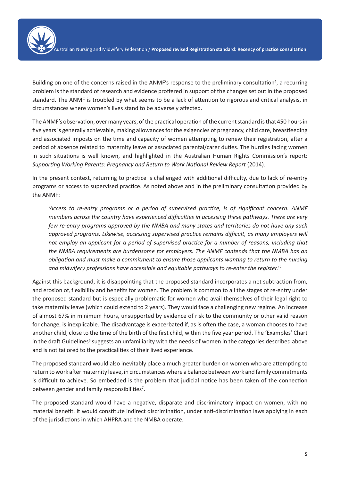

Building on one of the concerns raised in the ANMF's response to the preliminary consultation<sup>4</sup>, a recurring problem is the standard of research and evidence proffered in support of the changes set out in the proposed standard. The ANMF is troubled by what seems to be a lack of attention to rigorous and critical analysis, in circumstances where women's lives stand to be adversely affected.

The ANMF's observation, over many years, of the practical operation of the current standard is that 450 hours in five years is generally achievable, making allowances for the exigencies of pregnancy, child care, breastfeeding and associated imposts on the time and capacity of women attempting to renew their registration, after a period of absence related to maternity leave or associated parental/carer duties. The hurdles facing women in such situations is well known, and highlighted in the Australian Human Rights Commission's report: *Supporting Working Parents: Pregnancy and Return to Work National Review Report* (2014).

In the present context, returning to practice is challenged with additional difficulty, due to lack of re-entry programs or access to supervised practice. As noted above and in the preliminary consultation provided by the ANMF:

*'Access to re-entry programs or a period of supervised practice, is of significant concern. ANMF members across the country have experienced difficulties in accessing these pathways. There are very few re-entry programs approved by the NMBA and many states and territories do not have any such approved programs. Likewise, accessing supervised practice remains difficult, as many employers will not employ an applicant for a period of supervised practice for a number of reasons, including that the NMBA requirements are burdensome for employers. The ANMF contends that the NMBA has an obligation and must make a commitment to ensure those applicants wanting to return to the nursing and midwifery professions have accessible and equitable pathways to re-enter the register.'<sup>5</sup>*

Against this background, it is disappointing that the proposed standard incorporates a net subtraction from, and erosion of, flexibility and benefits for women. The problem is common to all the stages of re-entry under the proposed standard but is especially problematic for women who avail themselves of their legal right to take maternity leave (which could extend to 2 years). They would face a challenging new regime. An increase of almost 67% in minimum hours, unsupported by evidence of risk to the community or other valid reason for change, is inexplicable. The disadvantage is exacerbated if, as is often the case, a woman chooses to have another child, close to the time of the birth of the first child, within the five year period. The 'Examples' Chart in the draft Guidelines<sup>6</sup> suggests an unfamiliarity with the needs of women in the categories described above and is not tailored to the practicalities of their lived experience.

The proposed standard would also inevitably place a much greater burden on women who are attempting to return to work after maternity leave, in circumstances where a balance between work and family commitments is difficult to achieve. So embedded is the problem that judicial notice has been taken of the connection between gender and family responsibilities<sup>7</sup>.

The proposed standard would have a negative, disparate and discriminatory impact on women, with no material benefit. It would constitute indirect discrimination, under anti-discrimination laws applying in each of the jurisdictions in which AHPRA and the NMBA operate.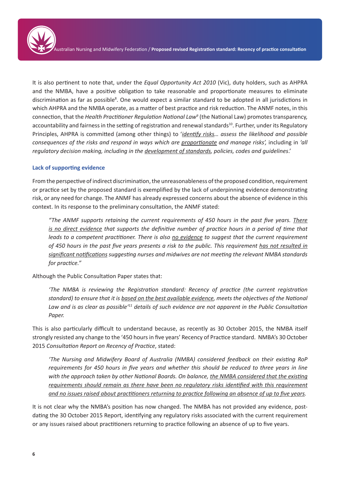It is also pertinent to note that, under the *Equal Opportunity Act 2010* (Vic), duty holders, such as AHPRA and the NMBA, have a positive obligation to take reasonable and proportionate measures to eliminate discrimination as far as possible<sup>8</sup>. One would expect a similar standard to be adopted in all jurisdictions in which AHPRA and the NMBA operate, as a matter of best practice and risk reduction. The ANMF notes, in this connection, that the *Health Practitioner Regulation National Law<sup>9</sup>* (the National Law) promotes transparency, accountability and fairness in the setting of registration and renewal standards<sup>10</sup>. Further, under its Regulatory Principles, AHPRA is committed (among other things) to '*identify risks… assess the likelihood and possible consequences of the risks and respond in ways which are proportionate and manage risks',* including in *'all regulatory decision making, including in the development of standards, policies, codes and guidelines*.'

#### **Lack of supporting evidence**

From the perspective of indirect discrimination, the unreasonableness of the proposed condition, requirement or practice set by the proposed standard is exemplified by the lack of underpinning evidence demonstrating risk, or any need for change. The ANMF has already expressed concerns about the absence of evidence in this context. In its response to the preliminary consultation, the ANMF stated:

*"The ANMF supports retaining the current requirements of 450 hours in the past five years. There is no direct evidence that supports the definitive number of practice hours in a period of time that leads to a competent practitioner. There is also no evidence to suggest that the current requirement of 450 hours in the past five years presents a risk to the public. This requirement has not resulted in significant notifications suggesting nurses and midwives are not meeting the relevant NMBA standards for practice."* 

Although the Public Consultation Paper states that:

*'The NMBA is reviewing the Registration standard: Recency of practice (the current registration standard) to ensure that it is based on the best available evidence, meets the objectives of the National Law and is as clear as possible'11 details of such evidence are not apparent in the Public Consultation Paper.*

This is also particularly difficult to understand because, as recently as 30 October 2015, the NMBA itself strongly resisted any change to the '450 hours in five years' Recency of Practice standard. NMBA's 30 October 2015 *Consultation Report on Recency of Practice*, stated:

*'The Nursing and Midwifery Board of Australia (NMBA) considered feedback on their existing RoP requirements for 450 hours in five years and whether this should be reduced to three years in line with the approach taken by other National Boards. On balance, the NMBA considered that the existing requirements should remain as there have been no regulatory risks identified with this requirement and no issues raised about practitioners returning to practice following an absence of up to five years.* 

It is not clear why the NMBA's position has now changed. The NMBA has not provided any evidence, postdating the 30 October 2015 Report, identifying any regulatory risks associated with the current requirement or any issues raised about practitioners returning to practice following an absence of up to five years.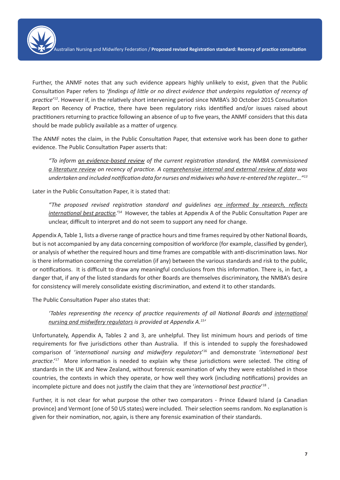Further, the ANMF notes that any such evidence appears highly unlikely to exist, given that the Public Consultation Paper refers to '*findings of little or no direct evidence that underpins regulation of recency of practice*' 12. However if, in the relatively short intervening period since NMBA's 30 October 2015 Consultation Report on Recency of Practice, there have been regulatory risks identified and/or issues raised about practitioners returning to practice following an absence of up to five years, the ANMF considers that this data should be made publicly available as a matter of urgency.

The ANMF notes the claim, in the Public Consultation Paper, that extensive work has been done to gather evidence. The Public Consultation Paper asserts that:

*"To inform an evidence-based review of the current registration standard, the NMBA commissioned a literature review on recency of practice. A comprehensive internal and external review of data was undertaken and included notification data for nurses and midwives who have re-entered the register…"13*

Later in the Public Consultation Paper, it is stated that:

*"The proposed revised registration standard and guidelines are informed by research, reflects international best practice.'14* However, the tables at Appendix A of the Public Consultation Paper are unclear, difficult to interpret and do not seem to support any need for change.

Appendix A, Table 1, lists a diverse range of practice hours and time frames required by other National Boards, but is not accompanied by any data concerning composition of workforce (for example, classified by gender), or analysis of whether the required hours and time frames are compatible with anti-discrimination laws. Nor is there information concerning the correlation (if any) between the various standards and risk to the public, or notifications. It is difficult to draw any meaningful conclusions from this information. There is, in fact, a danger that, if any of the listed standards for other Boards are themselves discriminatory, the NMBA's desire for consistency will merely consolidate existing discrimination, and extend it to other standards.

The Public Consultation Paper also states that:

*'Tables representing the recency of practice requirements of all National Boards and international nursing and midwifery regulators is provided at Appendix A.15'* 

Unfortunately, Appendix A, Tables 2 and 3, are unhelpful. They list minimum hours and periods of time requirements for five jurisdictions other than Australia. If this is intended to supply the foreshadowed comparison of '*international nursing and midwifery regulators*' <sup>16</sup> and demonstrate '*international best practice*.'17 More information is needed to explain why these jurisdictions were selected. The citing of standards in the UK and New Zealand, without forensic examination of why they were established in those countries, the contexts in which they operate, or how well they work (including notifications) provides an incomplete picture and does not justify the claim that they are '*international best practice*' <sup>18</sup> .

Further, it is not clear for what purpose the other two comparators - Prince Edward Island (a Canadian province) and Vermont (one of 50 US states) were included. Their selection seems random. No explanation is given for their nomination, nor, again, is there any forensic examination of their standards.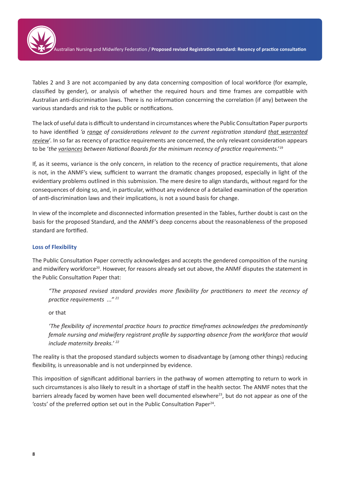

Tables 2 and 3 are not accompanied by any data concerning composition of local workforce (for example, classified by gender), or analysis of whether the required hours and time frames are compatible with Australian anti-discrimination laws. There is no information concerning the correlation (if any) between the various standards and risk to the public or notifications.

The lack of useful data is difficult to understand in circumstances where the Public Consultation Paper purports to have identified *'a range of considerations relevant to the current registration standard that warranted review*'. In so far as recency of practice requirements are concerned, the only relevant consideration appears to be '*the variances between National Boards for the minimum recency of practice requirements*.'19

If, as it seems, variance is the only concern, in relation to the recency of practice requirements, that alone is not, in the ANMF's view, sufficient to warrant the dramatic changes proposed, especially in light of the evidentiary problems outlined in this submission. The mere desire to align standards, without regard for the consequences of doing so, and, in particular, without any evidence of a detailed examination of the operation of anti-discrimination laws and their implications, is not a sound basis for change.

In view of the incomplete and disconnected information presented in the Tables, further doubt is cast on the basis for the proposed Standard, and the ANMF's deep concerns about the reasonableness of the proposed standard are fortified.

#### **Loss of Flexibility**

The Public Consultation Paper correctly acknowledges and accepts the gendered composition of the nursing and midwifery workforce<sup>20</sup>. However, for reasons already set out above, the ANMF disputes the statement in the Public Consultation Paper that:

*"The proposed revised standard provides more flexibility for practitioners to meet the recency of practice requirements ..." 21* 

or that

*'The flexibility of incremental practice hours to practice timeframes acknowledges the predominantly female nursing and midwifery registrant profile by supporting absence from the workforce that would include maternity breaks.' 22* 

The reality is that the proposed standard subjects women to disadvantage by (among other things) reducing flexibility, is unreasonable and is not underpinned by evidence.

This imposition of significant additional barriers in the pathway of women attempting to return to work in such circumstances is also likely to result in a shortage of staff in the health sector. The ANMF notes that the barriers already faced by women have been well documented elsewhere<sup>23</sup>, but do not appear as one of the 'costs' of the preferred option set out in the Public Consultation Paper<sup>24</sup>.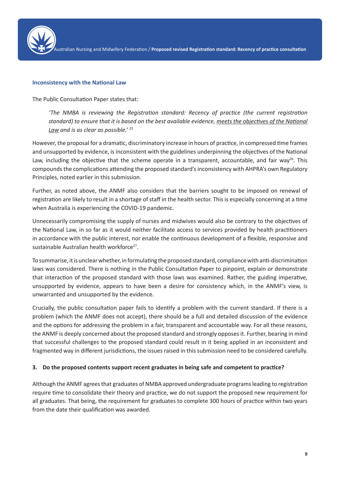

#### **Inconsistency with the National Law**

The Public Consultation Paper states that:

*'The NMBA is reviewing the Registration standard: Recency of practice (the current registration standard) to ensure that it is based on the best available evidence, meets the objectives of the National Law and is as clear as possible.' 25* 

However, the proposal for a dramatic, discriminatory increase in hours of practice, in compressed time frames and unsupported by evidence, is inconsistent with the guidelines underpinning the objectives of the National Law, including the objective that the scheme operate in a transparent, accountable, and fair way<sup>26</sup>. This compounds the complications attending the proposed standard's inconsistency with AHPRA's own Regulatory Principles, noted earlier in this submission.

Further, as noted above, the ANMF also considers that the barriers sought to be imposed on renewal of registration are likely to result in a shortage of staff in the health sector. This is especially concerning at a time when Australia is experiencing the COVID-19 pandemic.

Unnecessarily compromising the supply of nurses and midwives would also be contrary to the objectives of the National Law, in so far as it would neither facilitate access to services provided by health practitioners in accordance with the public interest, nor enable the continuous development of a flexible, responsive and sustainable Australian health workforce<sup>27</sup>.

To summarise, it is unclear whether, in formulating the proposed standard, compliance with anti-discrimination laws was considered. There is nothing in the Public Consultation Paper to pinpoint, explain or demonstrate that interaction of the proposed standard with those laws was examined. Rather, the guiding imperative, unsupported by evidence, appears to have been a desire for consistency which, in the ANMF's view, is unwarranted and unsupported by the evidence.

Crucially, the public consultation paper fails to identify a problem with the current standard. If there is a problem (which the ANMF does not accept), there should be a full and detailed discussion of the evidence and the options for addressing the problem in a fair, transparent and accountable way. For all these reasons, the ANMF is deeply concerned about the proposed standard and strongly opposes it. Further, bearing in mind that successful challenges to the proposed standard could result in it being applied in an inconsistent and fragmented way in different jurisdictions, the issues raised in this submission need to be considered carefully.

#### **3. Do the proposed contents support recent graduates in being safe and competent to practice?**

Although the ANMF agrees that graduates of NMBA approved undergraduate programs leading to registration require time to consolidate their theory and practice, we do not support the proposed new requirement for all graduates. That being, the requirement for graduates to complete 300 hours of practice within two years from the date their qualification was awarded.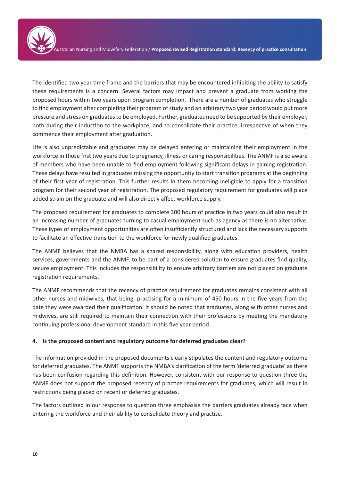The identified two year time frame and the barriers that may be encountered inhibiting the ability to satisfy these requirements is a concern. Several factors may impact and prevent a graduate from working the proposed hours within two years upon program completion. There are a number of graduates who struggle to find employment after completing their program of study and an arbitrary two year period would put more pressure and stress on graduates to be employed. Further, graduates need to be supported by their employer, both during their induction to the workplace, and to consolidate their practice, irrespective of when they commence their employment after graduation.

Life is also unpredictable and graduates may be delayed entering or maintaining their employment in the workforce in those first two years due to pregnancy, illness or caring responsibilities. The ANMF is also aware of members who have been unable to find employment following significant delays in gaining registration. These delays have resulted in graduates missing the opportunity to start transition programs at the beginning of their first year of registration. This further results in them becoming ineligible to apply for a transition program for their second year of registration. The proposed regulatory requirement for graduates will place added strain on the graduate and will also directly affect workforce supply.

The proposed requirement for graduates to complete 300 hours of practice in two years could also result in an increasing number of graduates turning to casual employment such as agency as there is no alternative. These types of employment opportunities are often insufficiently structured and lack the necessary supports to facilitate an effective transition to the workforce for newly qualified graduates.

The ANMF believes that the NMBA has a shared responsibility, along with education providers, health services, governments and the ANMF, to be part of a considered solution to ensure graduates find quality, secure employment. This includes the responsibility to ensure arbitrary barriers are not placed on graduate registration requirements.

The ANMF recommends that the recency of practice requirement for graduates remains consistent with all other nurses and midwives, that being, practising for a minimum of 450 hours in the five years from the date they were awarded their qualification. It should be noted that graduates, along with other nurses and midwives, are still required to maintain their connection with their professions by meeting the mandatory continuing professional development standard in this five year period.

#### **4. Is the proposed content and regulatory outcome for deferred graduates clear?**

The information provided in the proposed documents clearly stipulates the content and regulatory outcome for deferred graduates. The ANMF supports the NMBA's clarification of the term 'deferred graduate' as there has been confusion regarding this definition. However, consistent with our response to question three the ANMF does not support the proposed recency of practice requirements for graduates, which will result in restrictions being placed on recent or deferred graduates.

The factors outlined in our response to question three emphasise the barriers graduates already face when entering the workforce and their ability to consolidate theory and practise.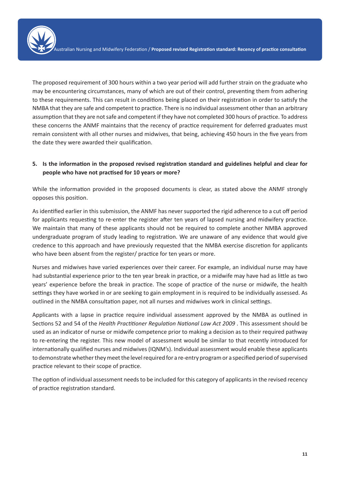The proposed requirement of 300 hours within a two year period will add further strain on the graduate who may be encountering circumstances, many of which are out of their control, preventing them from adhering to these requirements. This can result in conditions being placed on their registration in order to satisfy the NMBA that they are safe and competent to practice. There is no individual assessment other than an arbitrary assumption that they are not safe and competent if they have not completed 300 hours of practice. To address these concerns the ANMF maintains that the recency of practice requirement for deferred graduates must remain consistent with all other nurses and midwives, that being, achieving 450 hours in the five years from the date they were awarded their qualification.

#### **5. Is the information in the proposed revised registration standard and guidelines helpful and clear for people who have not practised for 10 years or more?**

While the information provided in the proposed documents is clear, as stated above the ANMF strongly opposes this position.

As identified earlier in this submission, the ANMF has never supported the rigid adherence to a cut off period for applicants requesting to re-enter the register after ten years of lapsed nursing and midwifery practice. We maintain that many of these applicants should not be required to complete another NMBA approved undergraduate program of study leading to registration. We are unaware of any evidence that would give credence to this approach and have previously requested that the NMBA exercise discretion for applicants who have been absent from the register/ practice for ten years or more.

Nurses and midwives have varied experiences over their career. For example, an individual nurse may have had substantial experience prior to the ten year break in practice, or a midwife may have had as little as two years' experience before the break in practice. The scope of practice of the nurse or midwife, the health settings they have worked in or are seeking to gain employment in is required to be individually assessed. As outlined in the NMBA consultation paper, not all nurses and midwives work in clinical settings.

Applicants with a lapse in practice require individual assessment approved by the NMBA as outlined in Sections 52 and 54 of the *Health Practitioner Regulation National Law Act 2009* . This assessment should be used as an indicator of nurse or midwife competence prior to making a decision as to their required pathway to re-entering the register. This new model of assessment would be similar to that recently introduced for internationally qualified nurses and midwives (IQNM's). Individual assessment would enable these applicants to demonstrate whether they meet the level required for a re-entry program or a specified period of supervised practice relevant to their scope of practice.

The option of individual assessment needs to be included for this category of applicants in the revised recency of practice registration standard.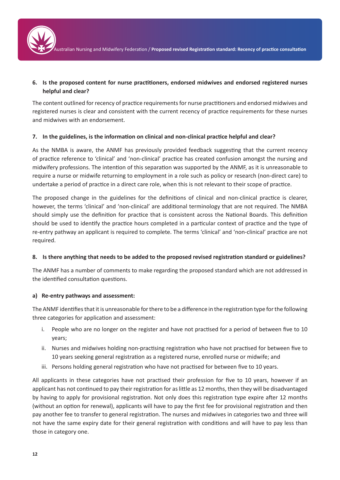

Australian Nursing and Midwifery Federation / **Proposed revised Registration standard: Recency of practice consultation**

#### **6. Is the proposed content for nurse practitioners, endorsed midwives and endorsed registered nurses helpful and clear?**

The content outlined for recency of practice requirements for nurse practitioners and endorsed midwives and registered nurses is clear and consistent with the current recency of practice requirements for these nurses and midwives with an endorsement.

#### **7. In the guidelines, is the information on clinical and non-clinical practice helpful and clear?**

As the NMBA is aware, the ANMF has previously provided feedback suggesting that the current recency of practice reference to 'clinical' and 'non-clinical' practice has created confusion amongst the nursing and midwifery professions. The intention of this separation was supported by the ANMF, as it is unreasonable to require a nurse or midwife returning to employment in a role such as policy or research (non-direct care) to undertake a period of practice in a direct care role, when this is not relevant to their scope of practice.

The proposed change in the guidelines for the definitions of clinical and non-clinical practice is clearer, however, the terms 'clinical' and 'non-clinical' are additional terminology that are not required. The NMBA should simply use the definition for practice that is consistent across the National Boards. This definition should be used to identify the practice hours completed in a particular context of practice and the type of re-entry pathway an applicant is required to complete. The terms 'clinical' and 'non-clinical' practice are not required.

#### **8. Is there anything that needs to be added to the proposed revised registration standard or guidelines?**

The ANMF has a number of comments to make regarding the proposed standard which are not addressed in the identified consultation questions.

#### **a) Re-entry pathways and assessment:**

The ANMF identifies that it is unreasonable for there to be a difference in the registration type for the following three categories for application and assessment:

- i. People who are no longer on the register and have not practised for a period of between five to 10 years;
- ii. Nurses and midwives holding non-practising registration who have not practised for between five to 10 years seeking general registration as a registered nurse, enrolled nurse or midwife; and
- iii. Persons holding general registration who have not practised for between five to 10 years.

All applicants in these categories have not practised their profession for five to 10 years, however if an applicant has not continued to pay their registration for as little as 12 months, then they will be disadvantaged by having to apply for provisional registration. Not only does this registration type expire after 12 months (without an option for renewal), applicants will have to pay the first fee for provisional registration and then pay another fee to transfer to general registration. The nurses and midwives in categories two and three will not have the same expiry date for their general registration with conditions and will have to pay less than those in category one.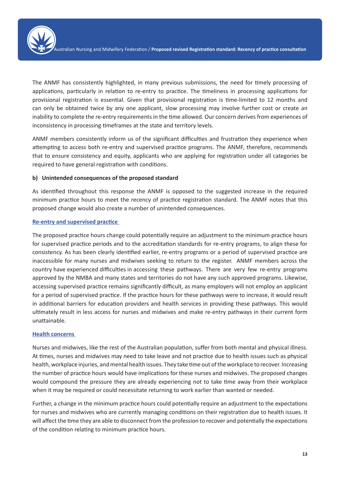

The ANMF has consistently highlighted, in many previous submissions, the need for timely processing of applications, particularly in relation to re-entry to practice. The timeliness in processing applications for provisional registration is essential. Given that provisional registration is time-limited to 12 months and can only be obtained twice by any one applicant, slow processing may involve further cost or create an inability to complete the re-entry requirements in the time allowed. Our concern derives from experiences of inconsistency in processing timeframes at the state and territory levels.

ANMF members consistently inform us of the significant difficulties and frustration they experience when attempting to access both re-entry and supervised practice programs. The ANMF, therefore, recommends that to ensure consistency and equity, applicants who are applying for registration under all categories be required to have general registration with conditions.

#### **b) Unintended consequences of the proposed standard**

As identified throughout this response the ANMF is opposed to the suggested increase in the required minimum practice hours to meet the recency of practice registration standard. The ANMF notes that this proposed change would also create a number of unintended consequences.

#### **Re-entry and supervised practice**

The proposed practice hours change could potentially require an adjustment to the minimum practice hours for supervised practice periods and to the accreditation standards for re-entry programs, to align these for consistency. As has been clearly identified earlier, re-entry programs or a period of supervised practice are inaccessible for many nurses and midwives seeking to return to the register. ANMF members across the country have experienced difficulties in accessing these pathways. There are very few re-entry programs approved by the NMBA and many states and territories do not have any such approved programs. Likewise, accessing supervised practice remains significantly difficult, as many employers will not employ an applicant for a period of supervised practice. If the practice hours for these pathways were to increase, it would result in additional barriers for education providers and health services in providing these pathways. This would ultimately result in less access for nurses and midwives and make re-entry pathways in their current form unattainable.

#### **Health concerns**

Nurses and midwives, like the rest of the Australian population, suffer from both mental and physical illness. At times, nurses and midwives may need to take leave and not practice due to health issues such as physical health, workplace injuries, and mental health issues. They take time out of the workplace to recover. Increasing the number of practice hours would have implications for these nurses and midwives. The proposed changes would compound the pressure they are already experiencing not to take time away from their workplace when it may be required or could necessitate returning to work earlier than wanted or needed.

Further, a change in the minimum practice hours could potentially require an adjustment to the expectations for nurses and midwives who are currently managing conditions on their registration due to health issues. It will affect the time they are able to disconnect from the profession to recover and potentially the expectations of the condition relating to minimum practice hours.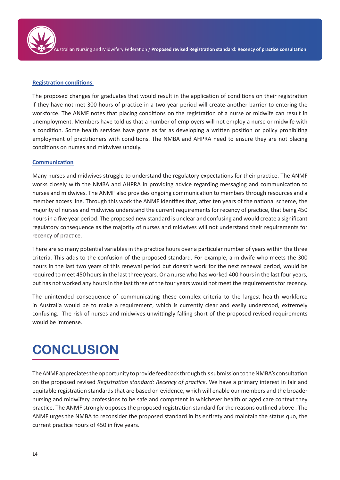

#### **Registration conditions**

The proposed changes for graduates that would result in the application of conditions on their registration if they have not met 300 hours of practice in a two year period will create another barrier to entering the workforce. The ANMF notes that placing conditions on the registration of a nurse or midwife can result in unemployment. Members have told us that a number of employers will not employ a nurse or midwife with a condition. Some health services have gone as far as developing a written position or policy prohibiting employment of practitioners with conditions. The NMBA and AHPRA need to ensure they are not placing conditions on nurses and midwives unduly.

#### **Communication**

Many nurses and midwives struggle to understand the regulatory expectations for their practice. The ANMF works closely with the NMBA and AHPRA in providing advice regarding messaging and communication to nurses and midwives. The ANMF also provides ongoing communication to members through resources and a member access line. Through this work the ANMF identifies that, after ten years of the national scheme, the majority of nurses and midwives understand the current requirements for recency of practice, that being 450 hours in a five year period. The proposed new standard is unclear and confusing and would create a significant regulatory consequence as the majority of nurses and midwives will not understand their requirements for recency of practice.

There are so many potential variables in the practice hours over a particular number of years within the three criteria. This adds to the confusion of the proposed standard. For example, a midwife who meets the 300 hours in the last two years of this renewal period but doesn't work for the next renewal period, would be required to meet 450 hours in the last three years. Or a nurse who has worked 400 hours in the last four years, but has not worked any hours in the last three of the four years would not meet the requirements for recency.

The unintended consequence of communicating these complex criteria to the largest health workforce in Australia would be to make a requirement, which is currently clear and easily understood, extremely confusing. The risk of nurses and midwives unwittingly falling short of the proposed revised requirements would be immense.

### **CONCLUSION**

The ANMF appreciates the opportunity to provide feedback through this submission to the NMBA's consultation on the proposed revised *Registration standard: Recency of practice*. We have a primary interest in fair and equitable registration standards that are based on evidence, which will enable our members and the broader nursing and midwifery professions to be safe and competent in whichever health or aged care context they practice. The ANMF strongly opposes the proposed registration standard for the reasons outlined above . The ANMF urges the NMBA to reconsider the proposed standard in its entirety and maintain the status quo, the current practice hours of 450 in five years.